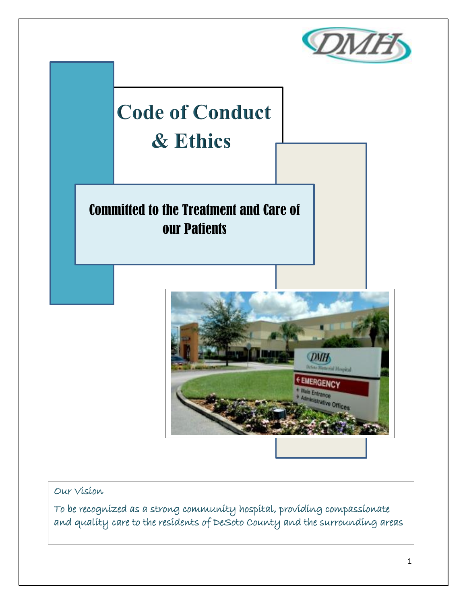



Our Vision

To be recognized as a strong community hospital, providing compassionate and quality care to the residents of DeSoto County and the surrounding areas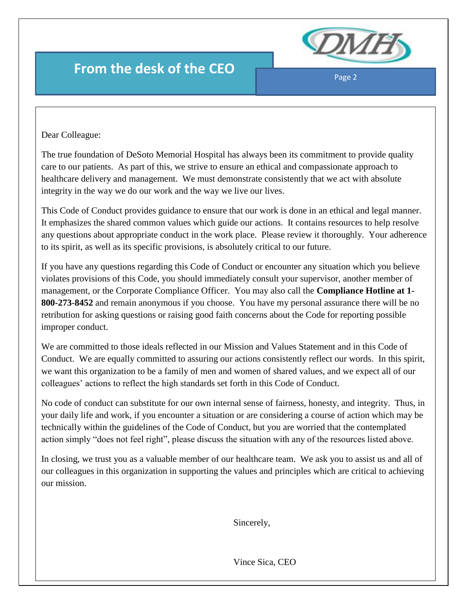

Page 2

# **From the desk of the CEO**

Dear Colleague:

The true foundation of DeSoto Memorial Hospital has always been its commitment to provide quality care to our patients. As part of this, we strive to ensure an ethical and compassionate approach to healthcare delivery and management. We must demonstrate consistently that we act with absolute integrity in the way we do our work and the way we live our lives.

This Code of Conduct provides guidance to ensure that our work is done in an ethical and legal manner. It emphasizes the shared common values which guide our actions. It contains resources to help resolve any questions about appropriate conduct in the work place. Please review it thoroughly. Your adherence to its spirit, as well as its specific provisions, is absolutely critical to our future.

If you have any questions regarding this Code of Conduct or encounter any situation which you believe violates provisions of this Code, you should immediately consult your supervisor, another member of management, or the Corporate Compliance Officer. You may also call the **Compliance Hotline at 1- 800-273-8452** and remain anonymous if you choose. You have my personal assurance there will be no retribution for asking questions or raising good faith concerns about the Code for reporting possible improper conduct.

We are committed to those ideals reflected in our Mission and Values Statement and in this Code of Conduct. We are equally committed to assuring our actions consistently reflect our words. In this spirit, we want this organization to be a family of men and women of shared values, and we expect all of our colleagues' actions to reflect the high standards set forth in this Code of Conduct.

No code of conduct can substitute for our own internal sense of fairness, honesty, and integrity. Thus, in your daily life and work, if you encounter a situation or are considering a course of action which may be technically within the guidelines of the Code of Conduct, but you are worried that the contemplated action simply "does not feel right", please discuss the situation with any of the resources listed above.

In closing, we trust you as a valuable member of our healthcare team. We ask you to assist us and all of our colleagues in this organization in supporting the values and principles which are critical to achieving our mission.

Sincerely,

Vince Sica, CEO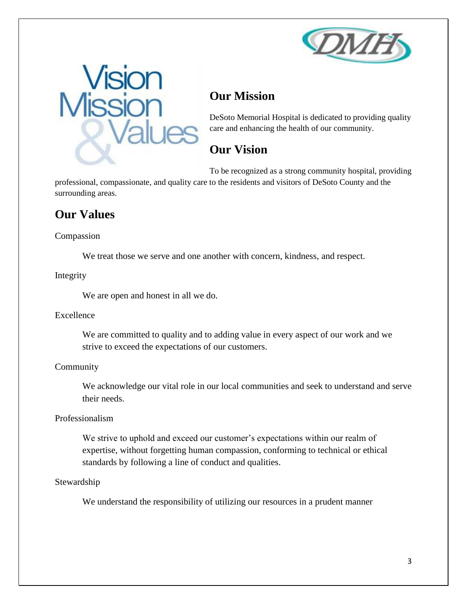



## **Our Mission**

DeSoto Memorial Hospital is dedicated to providing quality care and enhancing the health of our community.

### **Our Vision**

To be recognized as a strong community hospital, providing professional, compassionate, and quality care to the residents and visitors of DeSoto County and the surrounding areas.

### **Our Values**

#### Compassion

We treat those we serve and one another with concern, kindness, and respect.

#### Integrity

We are open and honest in all we do.

### Excellence

We are committed to quality and to adding value in every aspect of our work and we strive to exceed the expectations of our customers.

### Community

We acknowledge our vital role in our local communities and seek to understand and serve their needs.

### Professionalism

We strive to uphold and exceed our customer's expectations within our realm of expertise, without forgetting human compassion, conforming to technical or ethical standards by following a line of conduct and qualities.

### Stewardship

We understand the responsibility of utilizing our resources in a prudent manner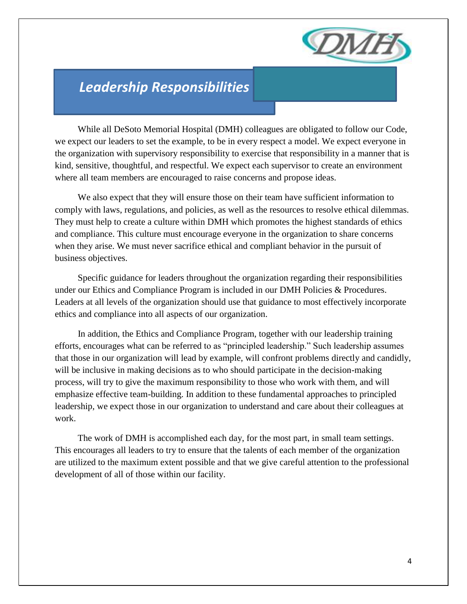

# *Leadership Responsibilities*

 While all DeSoto Memorial Hospital (DMH) colleagues are obligated to follow our Code, we expect our leaders to set the example, to be in every respect a model. We expect everyone in the organization with supervisory responsibility to exercise that responsibility in a manner that is kind, sensitive, thoughtful, and respectful. We expect each supervisor to create an environment where all team members are encouraged to raise concerns and propose ideas.

 We also expect that they will ensure those on their team have sufficient information to comply with laws, regulations, and policies, as well as the resources to resolve ethical dilemmas. They must help to create a culture within DMH which promotes the highest standards of ethics and compliance. This culture must encourage everyone in the organization to share concerns when they arise. We must never sacrifice ethical and compliant behavior in the pursuit of business objectives.

 Specific guidance for leaders throughout the organization regarding their responsibilities under our Ethics and Compliance Program is included in our DMH Policies & Procedures. Leaders at all levels of the organization should use that guidance to most effectively incorporate ethics and compliance into all aspects of our organization.

 In addition, the Ethics and Compliance Program, together with our leadership training efforts, encourages what can be referred to as "principled leadership." Such leadership assumes that those in our organization will lead by example, will confront problems directly and candidly, will be inclusive in making decisions as to who should participate in the decision-making process, will try to give the maximum responsibility to those who work with them, and will emphasize effective team-building. In addition to these fundamental approaches to principled leadership, we expect those in our organization to understand and care about their colleagues at work.

 The work of DMH is accomplished each day, for the most part, in small team settings. This encourages all leaders to try to ensure that the talents of each member of the organization are utilized to the maximum extent possible and that we give careful attention to the professional development of all of those within our facility.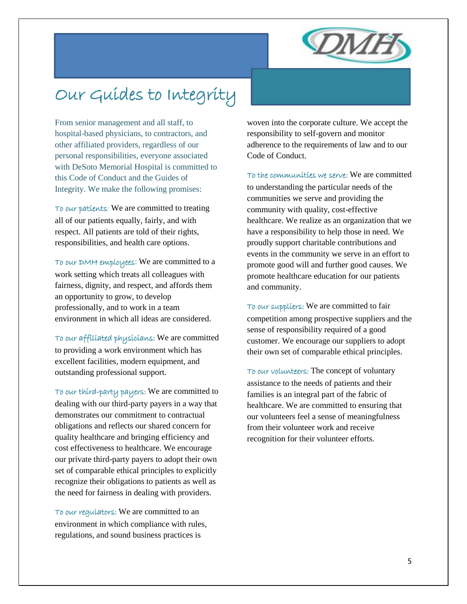

# Our Guides to Integrity

From senior management and all staff, to hospital-based physicians, to contractors, and other affiliated providers, regardless of our personal responsibilities, everyone associated with DeSoto Memorial Hospital is committed to this Code of Conduct and the Guides of Integrity. We make the following promises:

To our patients: We are committed to treating all of our patients equally, fairly, and with respect. All patients are told of their rights, responsibilities, and health care options.

To our DMH employees: We are committed to a work setting which treats all colleagues with fairness, dignity, and respect, and affords them an opportunity to grow, to develop professionally, and to work in a team environment in which all ideas are considered.

To our affiliated physicians: We are committed to providing a work environment which has excellent facilities, modern equipment, and outstanding professional support.

To our third-party payers: We are committed to dealing with our third-party payers in a way that demonstrates our commitment to contractual obligations and reflects our shared concern for quality healthcare and bringing efficiency and cost effectiveness to healthcare. We encourage our private third-party payers to adopt their own set of comparable ethical principles to explicitly recognize their obligations to patients as well as the need for fairness in dealing with providers.

To our regulators: We are committed to an environment in which compliance with rules, regulations, and sound business practices is

woven into the corporate culture. We accept the responsibility to self-govern and monitor adherence to the requirements of law and to our Code of Conduct.

To the communities we serve: We are committed to understanding the particular needs of the communities we serve and providing the community with quality, cost-effective healthcare. We realize as an organization that we have a responsibility to help those in need. We proudly support charitable contributions and events in the community we serve in an effort to promote good will and further good causes. We promote healthcare education for our patients and community.

To our suppliers: We are committed to fair competition among prospective suppliers and the sense of responsibility required of a good customer. We encourage our suppliers to adopt their own set of comparable ethical principles.

To our volunteers: The concept of voluntary assistance to the needs of patients and their families is an integral part of the fabric of healthcare. We are committed to ensuring that our volunteers feel a sense of meaningfulness from their volunteer work and receive recognition for their volunteer efforts.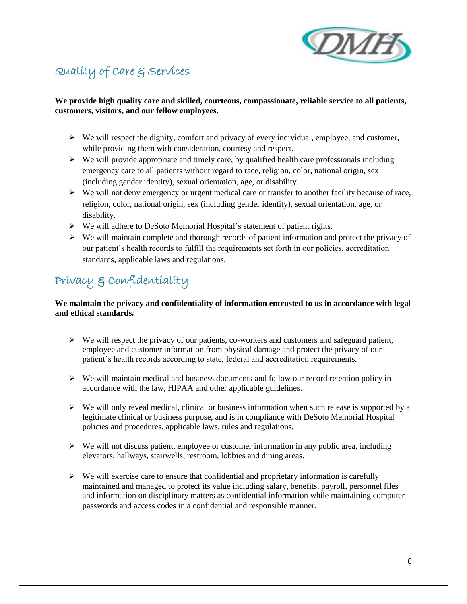

## Quality of Care & Services

#### **We provide high quality care and skilled, courteous, compassionate, reliable service to all patients, customers, visitors, and our fellow employees.**

- $\triangleright$  We will respect the dignity, comfort and privacy of every individual, employee, and customer, while providing them with consideration, courtesy and respect.
- $\triangleright$  We will provide appropriate and timely care, by qualified health care professionals including emergency care to all patients without regard to race, religion, color, national origin, sex (including gender identity), sexual orientation, age, or disability.
- $\triangleright$  We will not deny emergency or urgent medical care or transfer to another facility because of race, religion, color, national origin, sex (including gender identity), sexual orientation, age, or disability.
- We will adhere to DeSoto Memorial Hospital's statement of patient rights.
- $\triangleright$  We will maintain complete and thorough records of patient information and protect the privacy of our patient's health records to fulfill the requirements set forth in our policies, accreditation standards, applicable laws and regulations.

# Privacy & Confidentiality

#### **We maintain the privacy and confidentiality of information entrusted to us in accordance with legal and ethical standards.**

- $\triangleright$  We will respect the privacy of our patients, co-workers and customers and safeguard patient, employee and customer information from physical damage and protect the privacy of our patient's health records according to state, federal and accreditation requirements.
- $\triangleright$  We will maintain medical and business documents and follow our record retention policy in accordance with the law, HIPAA and other applicable guidelines.
- $\triangleright$  We will only reveal medical, clinical or business information when such release is supported by a legitimate clinical or business purpose, and is in compliance with DeSoto Memorial Hospital policies and procedures, applicable laws, rules and regulations.
- $\triangleright$  We will not discuss patient, employee or customer information in any public area, including elevators, hallways, stairwells, restroom, lobbies and dining areas.
- $\triangleright$  We will exercise care to ensure that confidential and proprietary information is carefully maintained and managed to protect its value including salary, benefits, payroll, personnel files and information on disciplinary matters as confidential information while maintaining computer passwords and access codes in a confidential and responsible manner.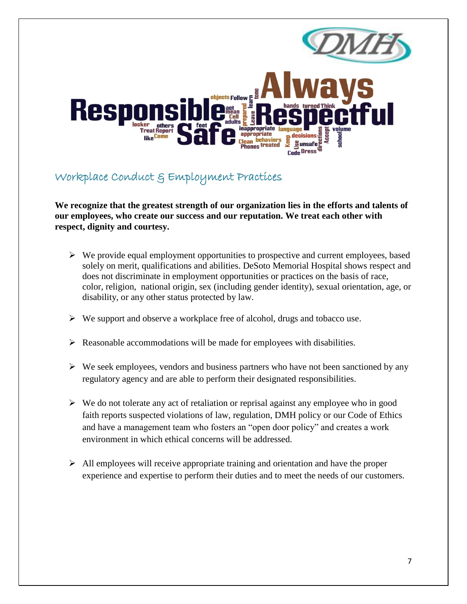

### Workplace Conduct & Employment Practices

**We recognize that the greatest strength of our organization lies in the efforts and talents of our employees, who create our success and our reputation. We treat each other with respect, dignity and courtesy.**

- $\triangleright$  We provide equal employment opportunities to prospective and current employees, based solely on merit, qualifications and abilities. DeSoto Memorial Hospital shows respect and does not discriminate in employment opportunities or practices on the basis of race, color, religion, national origin, sex (including gender identity), sexual orientation, age, or disability, or any other status protected by law.
- $\triangleright$  We support and observe a workplace free of alcohol, drugs and tobacco use.
- $\triangleright$  Reasonable accommodations will be made for employees with disabilities.
- $\triangleright$  We seek employees, vendors and business partners who have not been sanctioned by any regulatory agency and are able to perform their designated responsibilities.
- $\triangleright$  We do not tolerate any act of retaliation or reprisal against any employee who in good faith reports suspected violations of law, regulation, DMH policy or our Code of Ethics and have a management team who fosters an "open door policy" and creates a work environment in which ethical concerns will be addressed.
- $\triangleright$  All employees will receive appropriate training and orientation and have the proper experience and expertise to perform their duties and to meet the needs of our customers.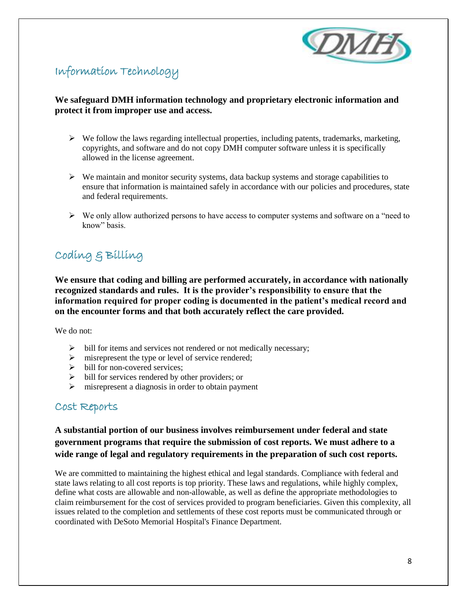

### Information Technology

#### **We safeguard DMH information technology and proprietary electronic information and protect it from improper use and access.**

- $\triangleright$  We follow the laws regarding intellectual properties, including patents, trademarks, marketing, copyrights, and software and do not copy DMH computer software unless it is specifically allowed in the license agreement.
- $\triangleright$  We maintain and monitor security systems, data backup systems and storage capabilities to ensure that information is maintained safely in accordance with our policies and procedures, state and federal requirements.
- $\triangleright$  We only allow authorized persons to have access to computer systems and software on a "need to" know" basis.

### Coding & Billing

**We ensure that coding and billing are performed accurately, in accordance with nationally recognized standards and rules. It is the provider's responsibility to ensure that the information required for proper coding is documented in the patient's medical record and on the encounter forms and that both accurately reflect the care provided.**

We do not:

- $\triangleright$  bill for items and services not rendered or not medically necessary;
- $\triangleright$  misrepresent the type or level of service rendered;
- $\triangleright$  bill for non-covered services;
- $\triangleright$  bill for services rendered by other providers; or
- $\triangleright$  misrepresent a diagnosis in order to obtain payment

### Cost Reports

**A substantial portion of our business involves reimbursement under federal and state government programs that require the submission of cost reports. We must adhere to a wide range of legal and regulatory requirements in the preparation of such cost reports.** 

We are committed to maintaining the highest ethical and legal standards. Compliance with federal and state laws relating to all cost reports is top priority. These laws and regulations, while highly complex, define what costs are allowable and non-allowable, as well as define the appropriate methodologies to claim reimbursement for the cost of services provided to program beneficiaries. Given this complexity, all issues related to the completion and settlements of these cost reports must be communicated through or coordinated with DeSoto Memorial Hospital's Finance Department.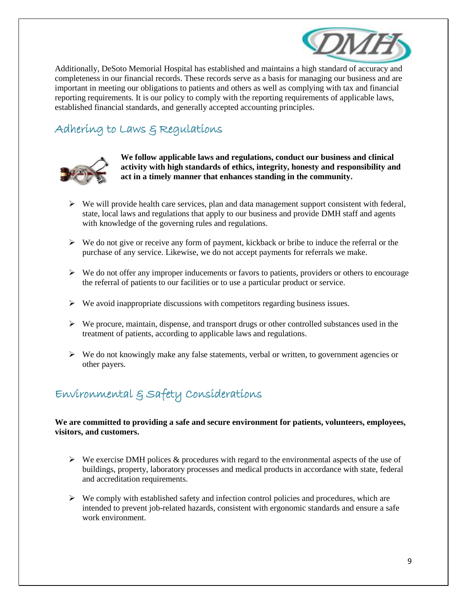

Additionally, DeSoto Memorial Hospital has established and maintains a high standard of accuracy and completeness in our financial records. These records serve as a basis for managing our business and are important in meeting our obligations to patients and others as well as complying with tax and financial reporting requirements. It is our policy to comply with the reporting requirements of applicable laws, established financial standards, and generally accepted accounting principles.

### Adhering to Laws & Regulations



**We follow applicable laws and regulations, conduct our business and clinical activity with high standards of ethics, integrity, honesty and responsibility and act in a timely manner that enhances standing in the community.**

- $\triangleright$  We will provide health care services, plan and data management support consistent with federal, state, local laws and regulations that apply to our business and provide DMH staff and agents with knowledge of the governing rules and regulations.
- $\triangleright$  We do not give or receive any form of payment, kickback or bribe to induce the referral or the purchase of any service. Likewise, we do not accept payments for referrals we make.
- $\triangleright$  We do not offer any improper inducements or favors to patients, providers or others to encourage the referral of patients to our facilities or to use a particular product or service.
- $\triangleright$  We avoid inappropriate discussions with competitors regarding business issues.
- $\triangleright$  We procure, maintain, dispense, and transport drugs or other controlled substances used in the treatment of patients, according to applicable laws and regulations.
- $\triangleright$  We do not knowingly make any false statements, verbal or written, to government agencies or other payers.

### Environmental & Safety Considerations

#### **We are committed to providing a safe and secure environment for patients, volunteers, employees, visitors, and customers.**

- $\triangleright$  We exercise DMH polices & procedures with regard to the environmental aspects of the use of buildings, property, laboratory processes and medical products in accordance with state, federal and accreditation requirements.
- $\triangleright$  We comply with established safety and infection control policies and procedures, which are intended to prevent job-related hazards, consistent with ergonomic standards and ensure a safe work environment.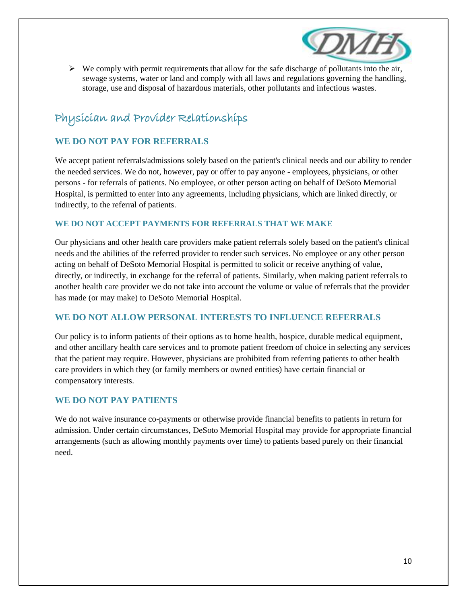

 $\triangleright$  We comply with permit requirements that allow for the safe discharge of pollutants into the air, sewage systems, water or land and comply with all laws and regulations governing the handling, storage, use and disposal of hazardous materials, other pollutants and infectious wastes.

### Physician and Provider Relationships

#### **WE DO NOT PAY FOR REFERRALS**

We accept patient referrals/admissions solely based on the patient's clinical needs and our ability to render the needed services. We do not, however, pay or offer to pay anyone - employees, physicians, or other persons - for referrals of patients. No employee, or other person acting on behalf of DeSoto Memorial Hospital, is permitted to enter into any agreements, including physicians, which are linked directly, or indirectly, to the referral of patients.

#### **WE DO NOT ACCEPT PAYMENTS FOR REFERRALS THAT WE MAKE**

Our physicians and other health care providers make patient referrals solely based on the patient's clinical needs and the abilities of the referred provider to render such services. No employee or any other person acting on behalf of DeSoto Memorial Hospital is permitted to solicit or receive anything of value, directly, or indirectly, in exchange for the referral of patients. Similarly, when making patient referrals to another health care provider we do not take into account the volume or value of referrals that the provider has made (or may make) to DeSoto Memorial Hospital.

#### **WE DO NOT ALLOW PERSONAL INTERESTS TO INFLUENCE REFERRALS**

Our policy is to inform patients of their options as to home health, hospice, durable medical equipment, and other ancillary health care services and to promote patient freedom of choice in selecting any services that the patient may require. However, physicians are prohibited from referring patients to other health care providers in which they (or family members or owned entities) have certain financial or compensatory interests.

#### **WE DO NOT PAY PATIENTS**

We do not waive insurance co-payments or otherwise provide financial benefits to patients in return for admission. Under certain circumstances, DeSoto Memorial Hospital may provide for appropriate financial arrangements (such as allowing monthly payments over time) to patients based purely on their financial need.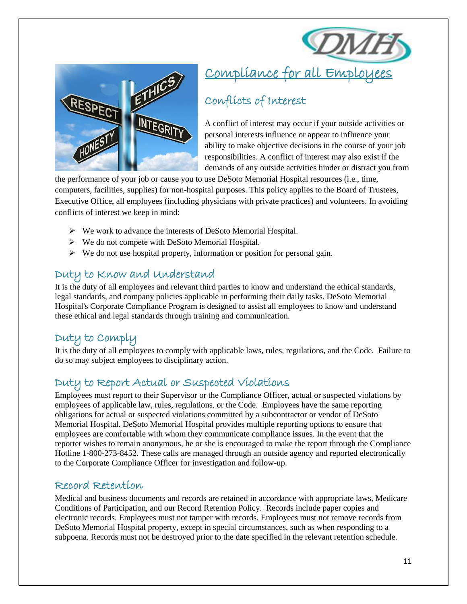



# Compliance for all Employees

### Conflicts of Interest

A conflict of interest may occur if your outside activities or personal interests influence or appear to influence your ability to make objective decisions in the course of your job responsibilities. A conflict of interest may also exist if the demands of any outside activities hinder or distract you from

the performance of your job or cause you to use DeSoto Memorial Hospital resources (i.e., time, computers, facilities, supplies) for non-hospital purposes. This policy applies to the Board of Trustees, Executive Office, all employees (including physicians with private practices) and volunteers. In avoiding conflicts of interest we keep in mind:

- We work to advance the interests of DeSoto Memorial Hospital.
- We do not compete with DeSoto Memorial Hospital.
- $\triangleright$  We do not use hospital property, information or position for personal gain.

### Duty to Know and Understand

It is the duty of all employees and relevant third parties to know and understand the ethical standards, legal standards, and company policies applicable in performing their daily tasks. DeSoto Memorial Hospital's Corporate Compliance Program is designed to assist all employees to know and understand these ethical and legal standards through training and communication.

### Duty to Comply

It is the duty of all employees to comply with applicable laws, rules, regulations, and the Code. Failure to do so may subject employees to disciplinary action.

### Duty to Report Actual or Suspected Violations

Employees must report to their Supervisor or the Compliance Officer, actual or suspected violations by employees of applicable law, rules, regulations, or the Code. Employees have the same reporting obligations for actual or suspected violations committed by a subcontractor or vendor of DeSoto Memorial Hospital. DeSoto Memorial Hospital provides multiple reporting options to ensure that employees are comfortable with whom they communicate compliance issues. In the event that the reporter wishes to remain anonymous, he or she is encouraged to make the report through the Compliance Hotline 1-800-273-8452. These calls are managed through an outside agency and reported electronically to the Corporate Compliance Officer for investigation and follow-up.

### Record Retention

Medical and business documents and records are retained in accordance with appropriate laws, Medicare Conditions of Participation, and our Record Retention Policy. Records include paper copies and electronic records. Employees must not tamper with records. Employees must not remove records from DeSoto Memorial Hospital property, except in special circumstances, such as when responding to a subpoena. Records must not be destroyed prior to the date specified in the relevant retention schedule.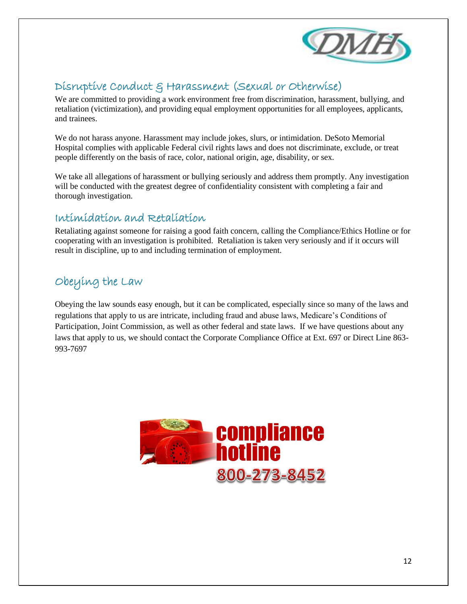

### Disruptive Conduct & Harassment (Sexual or Otherwise)

We are committed to providing a work environment free from discrimination, harassment, bullying, and retaliation (victimization), and providing equal employment opportunities for all employees, applicants, and trainees.

We do not harass anyone. Harassment may include jokes, slurs, or intimidation. DeSoto Memorial Hospital complies with applicable Federal civil rights laws and does not discriminate, exclude, or treat people differently on the basis of race, color, national origin, age, disability, or sex.

We take all allegations of harassment or bullying seriously and address them promptly. Any investigation will be conducted with the greatest degree of confidentiality consistent with completing a fair and thorough investigation.

### Intimidation and Retaliation

Retaliating against someone for raising a good faith concern, calling the Compliance/Ethics Hotline or for cooperating with an investigation is prohibited. Retaliation is taken very seriously and if it occurs will result in discipline, up to and including termination of employment.

### Obeying the Law

Obeying the law sounds easy enough, but it can be complicated, especially since so many of the laws and regulations that apply to us are intricate, including fraud and abuse laws, Medicare's Conditions of Participation, Joint Commission, as well as other federal and state laws. If we have questions about any laws that apply to us, we should contact the Corporate Compliance Office at Ext. 697 or Direct Line 863- 993-7697

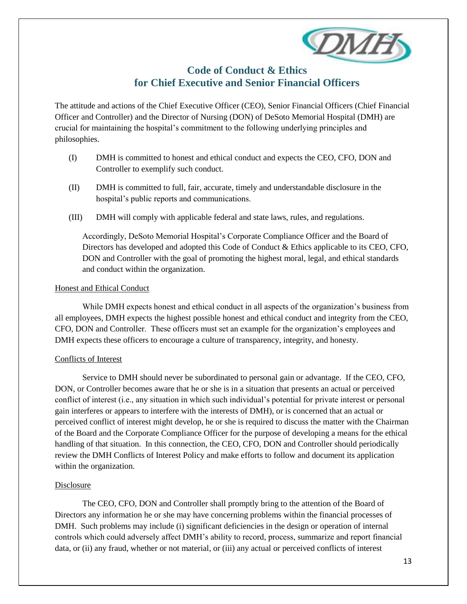

### **Code of Conduct & Ethics for Chief Executive and Senior Financial Officers**

The attitude and actions of the Chief Executive Officer (CEO), Senior Financial Officers (Chief Financial Officer and Controller) and the Director of Nursing (DON) of DeSoto Memorial Hospital (DMH) are crucial for maintaining the hospital's commitment to the following underlying principles and philosophies.

- (I) DMH is committed to honest and ethical conduct and expects the CEO, CFO, DON and Controller to exemplify such conduct.
- (II) DMH is committed to full, fair, accurate, timely and understandable disclosure in the hospital's public reports and communications.
- (III) DMH will comply with applicable federal and state laws, rules, and regulations.

Accordingly, DeSoto Memorial Hospital's Corporate Compliance Officer and the Board of Directors has developed and adopted this Code of Conduct & Ethics applicable to its CEO, CFO, DON and Controller with the goal of promoting the highest moral, legal, and ethical standards and conduct within the organization.

#### Honest and Ethical Conduct

While DMH expects honest and ethical conduct in all aspects of the organization's business from all employees, DMH expects the highest possible honest and ethical conduct and integrity from the CEO, CFO, DON and Controller. These officers must set an example for the organization's employees and DMH expects these officers to encourage a culture of transparency, integrity, and honesty.

#### Conflicts of Interest

Service to DMH should never be subordinated to personal gain or advantage. If the CEO, CFO, DON, or Controller becomes aware that he or she is in a situation that presents an actual or perceived conflict of interest (i.e., any situation in which such individual's potential for private interest or personal gain interferes or appears to interfere with the interests of DMH), or is concerned that an actual or perceived conflict of interest might develop, he or she is required to discuss the matter with the Chairman of the Board and the Corporate Compliance Officer for the purpose of developing a means for the ethical handling of that situation. In this connection, the CEO, CFO, DON and Controller should periodically review the DMH Conflicts of Interest Policy and make efforts to follow and document its application within the organization.

#### Disclosure

The CEO, CFO, DON and Controller shall promptly bring to the attention of the Board of Directors any information he or she may have concerning problems within the financial processes of DMH. Such problems may include (i) significant deficiencies in the design or operation of internal controls which could adversely affect DMH's ability to record, process, summarize and report financial data, or (ii) any fraud, whether or not material, or (iii) any actual or perceived conflicts of interest